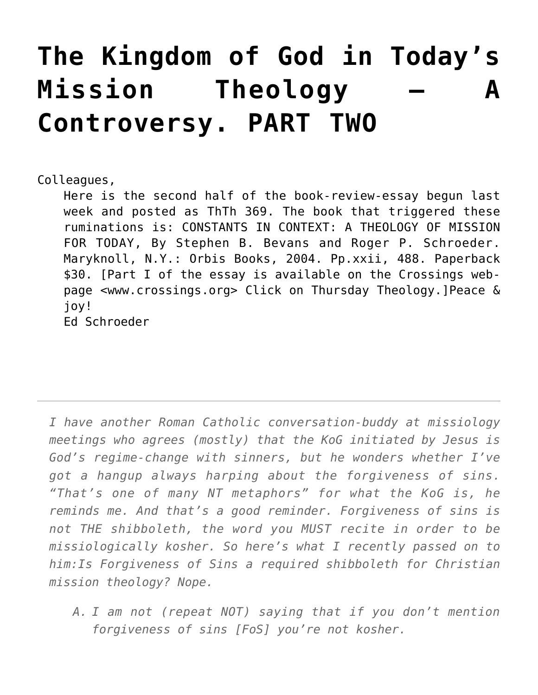## **[The Kingdom of God in Today's](https://crossings.org/the-kingdom-of-god-in-todays-mission-theology-a-controversy-part-two/) [Mission Theology – A](https://crossings.org/the-kingdom-of-god-in-todays-mission-theology-a-controversy-part-two/) [Controversy. PART TWO](https://crossings.org/the-kingdom-of-god-in-todays-mission-theology-a-controversy-part-two/)**

Colleagues,

Here is the second half of the book-review-essay begun last week and posted as ThTh 369. The book that triggered these ruminations is: CONSTANTS IN CONTEXT: A THEOLOGY OF MISSION FOR TODAY, By Stephen B. Bevans and Roger P. Schroeder. Maryknoll, N.Y.: Orbis Books, 2004. Pp.xxii, 488. Paperback \$30. [Part I of the essay is available on the Crossings webpage <www.crossings.org> Click on Thursday Theology.]Peace & joy! Ed Schroeder

*I have another Roman Catholic conversation-buddy at missiology meetings who agrees (mostly) that the KoG initiated by Jesus is God's regime-change with sinners, but he wonders whether I've got a hangup always harping about the forgiveness of sins. "That's one of many NT metaphors" for what the KoG is, he reminds me. And that's a good reminder. Forgiveness of sins is not THE shibboleth, the word you MUST recite in order to be missiologically kosher. So here's what I recently passed on to him:Is Forgiveness of Sins a required shibboleth for Christian mission theology? Nope.*

*A. I am not (repeat NOT) saying that if you don't mention forgiveness of sins [FoS] you're not kosher.*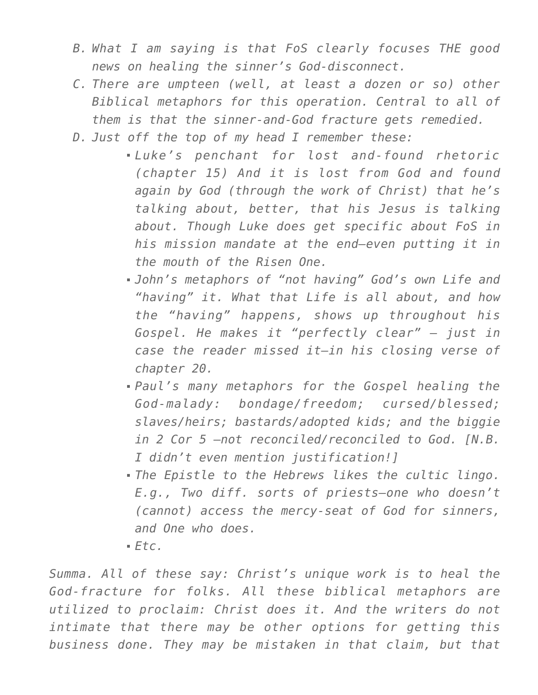- *B. What I am saying is that FoS clearly focuses THE good news on healing the sinner's God-disconnect.*
- *C. There are umpteen (well, at least a dozen or so) other Biblical metaphors for this operation. Central to all of them is that the sinner-and-God fracture gets remedied.*
- *D. Just off the top of my head I remember these:*
	- *Luke's penchant for lost and-found rhetoric (chapter 15) And it is lost from God and found again by God (through the work of Christ) that he's talking about, better, that his Jesus is talking about. Though Luke does get specific about FoS in his mission mandate at the end–even putting it in the mouth of the Risen One.*
	- *John's metaphors of "not having" God's own Life and "having" it. What that Life is all about, and how the "having" happens, shows up throughout his Gospel. He makes it "perfectly clear" — just in case the reader missed it–in his closing verse of chapter 20.*
	- *Paul's many metaphors for the Gospel healing the God-malady: bondage/freedom; cursed/blessed; slaves/heirs; bastards/adopted kids; and the biggie in 2 Cor 5 –not reconciled/reconciled to God. [N.B. I didn't even mention justification!]*
	- *The Epistle to the Hebrews likes the cultic lingo. E.g., Two diff. sorts of priests–one who doesn't (cannot) access the mercy-seat of God for sinners, and One who does.*
	- *Etc.*

*Summa. All of these say: Christ's unique work is to heal the God-fracture for folks. All these biblical metaphors are utilized to proclaim: Christ does it. And the writers do not intimate that there may be other options for getting this business done. They may be mistaken in that claim, but that*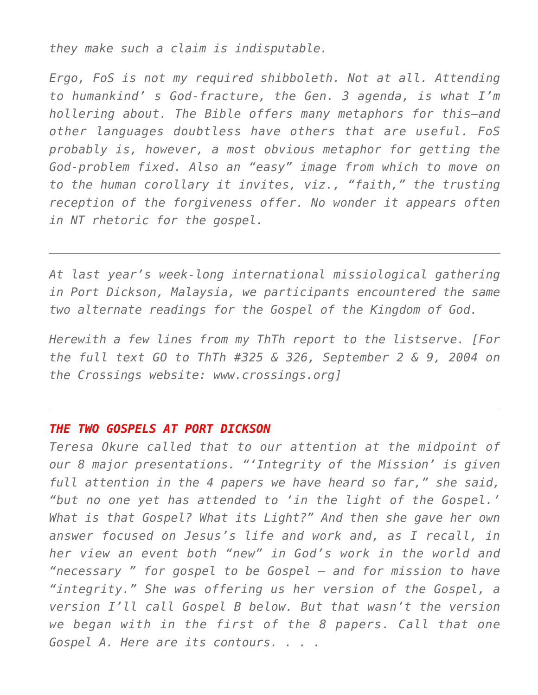*they make such a claim is indisputable.*

*Ergo, FoS is not my required shibboleth. Not at all. Attending to humankind' s God-fracture, the Gen. 3 agenda, is what I'm hollering about. The Bible offers many metaphors for this–and other languages doubtless have others that are useful. FoS probably is, however, a most obvious metaphor for getting the God-problem fixed. Also an "easy" image from which to move on to the human corollary it invites, viz., "faith," the trusting reception of the forgiveness offer. No wonder it appears often in NT rhetoric for the gospel.*

*At last year's week-long international missiological gathering in Port Dickson, Malaysia, we participants encountered the same two alternate readings for the Gospel of the Kingdom of God.*

*Herewith a few lines from my ThTh report to the listserve. [For the full text GO to ThTh #325 & 326, September 2 & 9, 2004 on the Crossings website: www.crossings.org]*

## *THE TWO GOSPELS AT PORT DICKSON*

*Teresa Okure called that to our attention at the midpoint of our 8 major presentations. "'Integrity of the Mission' is given full attention in the 4 papers we have heard so far," she said, "but no one yet has attended to 'in the light of the Gospel.' What is that Gospel? What its Light?" And then she gave her own answer focused on Jesus's life and work and, as I recall, in her view an event both "new" in God's work in the world and "necessary " for gospel to be Gospel — and for mission to have "integrity." She was offering us her version of the Gospel, a version I'll call Gospel B below. But that wasn't the version we began with in the first of the 8 papers. Call that one Gospel A. Here are its contours. . . .*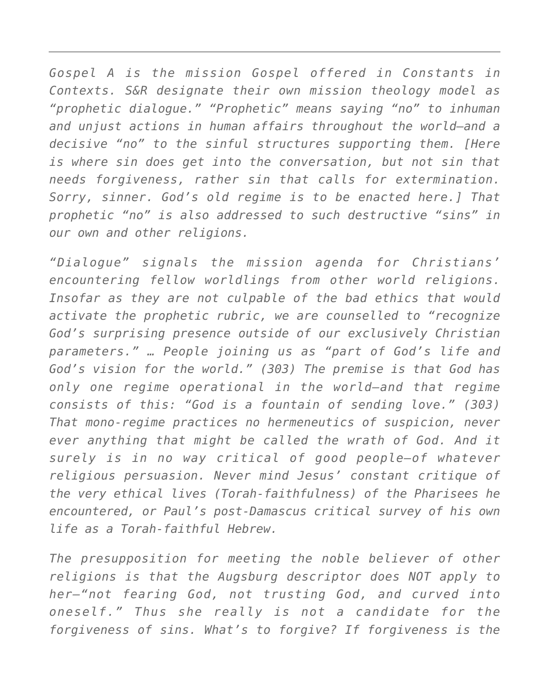*Gospel A is the mission Gospel offered in Constants in Contexts. S&R designate their own mission theology model as "prophetic dialogue." "Prophetic" means saying "no" to inhuman and unjust actions in human affairs throughout the world–and a decisive "no" to the sinful structures supporting them. [Here is where sin does get into the conversation, but not sin that needs forgiveness, rather sin that calls for extermination. Sorry, sinner. God's old regime is to be enacted here.] That prophetic "no" is also addressed to such destructive "sins" in our own and other religions.*

*"Dialogue" signals the mission agenda for Christians' encountering fellow worldlings from other world religions. Insofar as they are not culpable of the bad ethics that would activate the prophetic rubric, we are counselled to "recognize God's surprising presence outside of our exclusively Christian parameters." … People joining us as "part of God's life and God's vision for the world." (303) The premise is that God has only one regime operational in the world–and that regime consists of this: "God is a fountain of sending love." (303) That mono-regime practices no hermeneutics of suspicion, never ever anything that might be called the wrath of God. And it surely is in no way critical of good people–of whatever religious persuasion. Never mind Jesus' constant critique of the very ethical lives (Torah-faithfulness) of the Pharisees he encountered, or Paul's post-Damascus critical survey of his own life as a Torah-faithful Hebrew.*

*The presupposition for meeting the noble believer of other religions is that the Augsburg descriptor does NOT apply to her–"not fearing God, not trusting God, and curved into oneself." Thus she really is not a candidate for the forgiveness of sins. What's to forgive? If forgiveness is the*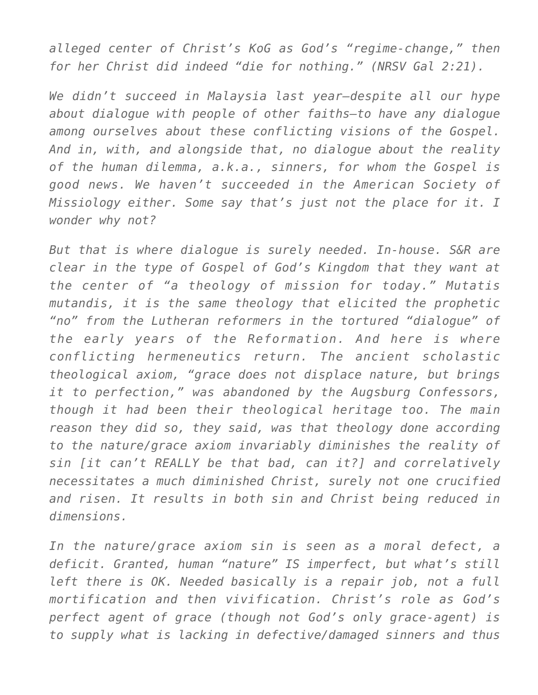*alleged center of Christ's KoG as God's "regime-change," then for her Christ did indeed "die for nothing." (NRSV Gal 2:21).*

*We didn't succeed in Malaysia last year–despite all our hype about dialogue with people of other faiths–to have any dialogue among ourselves about these conflicting visions of the Gospel. And in, with, and alongside that, no dialogue about the reality of the human dilemma, a.k.a., sinners, for whom the Gospel is good news. We haven't succeeded in the American Society of Missiology either. Some say that's just not the place for it. I wonder why not?*

*But that is where dialogue is surely needed. In-house. S&R are clear in the type of Gospel of God's Kingdom that they want at the center of "a theology of mission for today." Mutatis mutandis, it is the same theology that elicited the prophetic "no" from the Lutheran reformers in the tortured "dialogue" of the early years of the Reformation. And here is where conflicting hermeneutics return. The ancient scholastic theological axiom, "grace does not displace nature, but brings it to perfection," was abandoned by the Augsburg Confessors, though it had been their theological heritage too. The main reason they did so, they said, was that theology done according to the nature/grace axiom invariably diminishes the reality of sin [it can't REALLY be that bad, can it?] and correlatively necessitates a much diminished Christ, surely not one crucified and risen. It results in both sin and Christ being reduced in dimensions.*

*In the nature/grace axiom sin is seen as a moral defect, a deficit. Granted, human "nature" IS imperfect, but what's still left there is OK. Needed basically is a repair job, not a full mortification and then vivification. Christ's role as God's perfect agent of grace (though not God's only grace-agent) is to supply what is lacking in defective/damaged sinners and thus*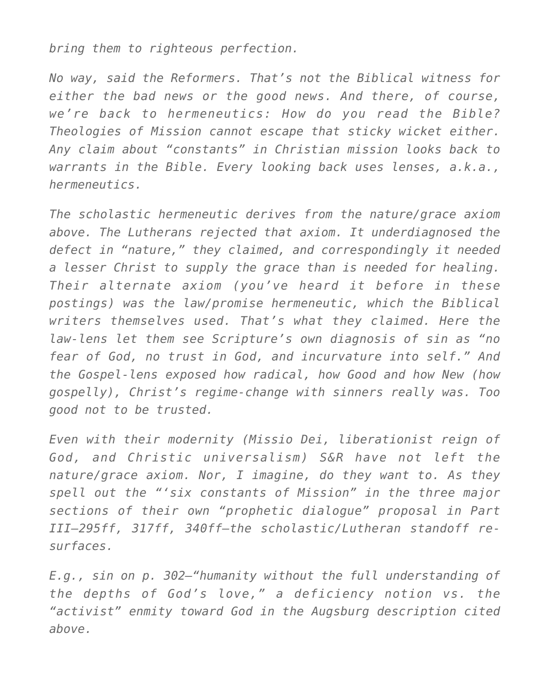*bring them to righteous perfection.*

*No way, said the Reformers. That's not the Biblical witness for either the bad news or the good news. And there, of course, we're back to hermeneutics: How do you read the Bible? Theologies of Mission cannot escape that sticky wicket either. Any claim about "constants" in Christian mission looks back to warrants in the Bible. Every looking back uses lenses, a.k.a., hermeneutics.*

*The scholastic hermeneutic derives from the nature/grace axiom above. The Lutherans rejected that axiom. It underdiagnosed the defect in "nature," they claimed, and correspondingly it needed a lesser Christ to supply the grace than is needed for healing. Their alternate axiom (you've heard it before in these postings) was the law/promise hermeneutic, which the Biblical writers themselves used. That's what they claimed. Here the law-lens let them see Scripture's own diagnosis of sin as "no fear of God, no trust in God, and incurvature into self." And the Gospel-lens exposed how radical, how Good and how New (how gospelly), Christ's regime-change with sinners really was. Too good not to be trusted.*

*Even with their modernity (Missio Dei, liberationist reign of God, and Christic universalism) S&R have not left the nature/grace axiom. Nor, I imagine, do they want to. As they spell out the "'six constants of Mission" in the three major sections of their own "prophetic dialogue" proposal in Part III–295ff, 317ff, 340ff–the scholastic/Lutheran standoff resurfaces.*

*E.g., sin on p. 302–"humanity without the full understanding of the depths of God's love," a deficiency notion vs. the "activist" enmity toward God in the Augsburg description cited above.*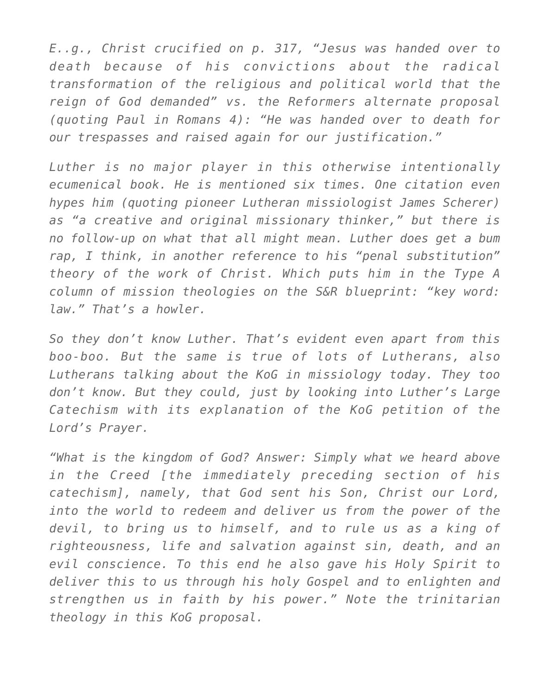*E..g., Christ crucified on p. 317, "Jesus was handed over to death because of his convictions about the radical transformation of the religious and political world that the reign of God demanded" vs. the Reformers alternate proposal (quoting Paul in Romans 4): "He was handed over to death for our trespasses and raised again for our justification."*

*Luther is no major player in this otherwise intentionally ecumenical book. He is mentioned six times. One citation even hypes him (quoting pioneer Lutheran missiologist James Scherer) as "a creative and original missionary thinker," but there is no follow-up on what that all might mean. Luther does get a bum rap, I think, in another reference to his "penal substitution" theory of the work of Christ. Which puts him in the Type A column of mission theologies on the S&R blueprint: "key word: law." That's a howler.*

*So they don't know Luther. That's evident even apart from this boo-boo. But the same is true of lots of Lutherans, also Lutherans talking about the KoG in missiology today. They too don't know. But they could, just by looking into Luther's Large Catechism with its explanation of the KoG petition of the Lord's Prayer.*

*"What is the kingdom of God? Answer: Simply what we heard above in the Creed [the immediately preceding section of his catechism], namely, that God sent his Son, Christ our Lord, into the world to redeem and deliver us from the power of the devil, to bring us to himself, and to rule us as a king of righteousness, life and salvation against sin, death, and an evil conscience. To this end he also gave his Holy Spirit to deliver this to us through his holy Gospel and to enlighten and strengthen us in faith by his power." Note the trinitarian theology in this KoG proposal.*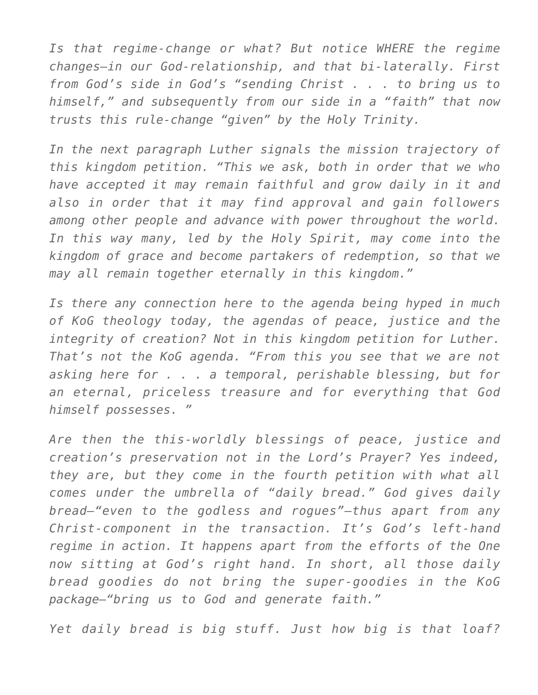*Is that regime-change or what? But notice WHERE the regime changes–in our God-relationship, and that bi-laterally. First from God's side in God's "sending Christ . . . to bring us to himself," and subsequently from our side in a "faith" that now trusts this rule-change "given" by the Holy Trinity.*

*In the next paragraph Luther signals the mission trajectory of this kingdom petition. "This we ask, both in order that we who have accepted it may remain faithful and grow daily in it and also in order that it may find approval and gain followers among other people and advance with power throughout the world. In this way many, led by the Holy Spirit, may come into the kingdom of grace and become partakers of redemption, so that we may all remain together eternally in this kingdom."*

*Is there any connection here to the agenda being hyped in much of KoG theology today, the agendas of peace, justice and the integrity of creation? Not in this kingdom petition for Luther. That's not the KoG agenda. "From this you see that we are not asking here for . . . a temporal, perishable blessing, but for an eternal, priceless treasure and for everything that God himself possesses. "*

*Are then the this-worldly blessings of peace, justice and creation's preservation not in the Lord's Prayer? Yes indeed, they are, but they come in the fourth petition with what all comes under the umbrella of "daily bread." God gives daily bread–"even to the godless and rogues"–thus apart from any Christ-component in the transaction. It's God's left-hand regime in action. It happens apart from the efforts of the One now sitting at God's right hand. In short, all those daily bread goodies do not bring the super-goodies in the KoG package–"bring us to God and generate faith."*

*Yet daily bread is big stuff. Just how big is that loaf?*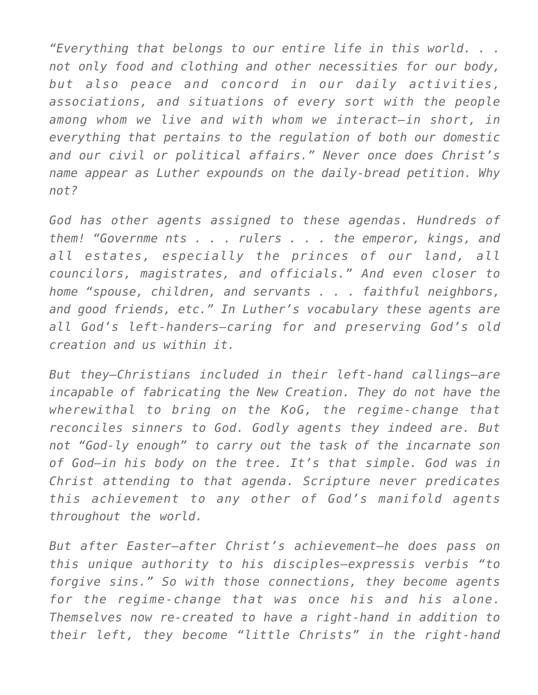*"Everything that belongs to our entire life in this world. . . not only food and clothing and other necessities for our body, but also peace and concord in our daily activities, associations, and situations of every sort with the people among whom we live and with whom we interact–in short, in everything that pertains to the regulation of both our domestic and our civil or political affairs." Never once does Christ's name appear as Luther expounds on the daily-bread petition. Why not?*

*God has other agents assigned to these agendas. Hundreds of them! "Governme nts . . . rulers . . . the emperor, kings, and all estates, especially the princes of our land, all councilors, magistrates, and officials." And even closer to home "spouse, children, and servants . . . faithful neighbors, and good friends, etc." In Luther's vocabulary these agents are all God's left-handers–caring for and preserving God's old creation and us within it.*

*But they–Christians included in their left-hand callings–are incapable of fabricating the New Creation. They do not have the wherewithal to bring on the KoG, the regime-change that reconciles sinners to God. Godly agents they indeed are. But not "God-ly enough" to carry out the task of the incarnate son of God–in his body on the tree. It's that simple. God was in Christ attending to that agenda. Scripture never predicates this achievement to any other of God's manifold agents throughout the world.*

*But after Easter–after Christ's achievement–he does pass on this unique authority to his disciples–expressis verbis "to forgive sins." So with those connections, they become agents for the regime-change that was once his and his alone. Themselves now re-created to have a right-hand in addition to their left, they become "little Christs" in the right-hand*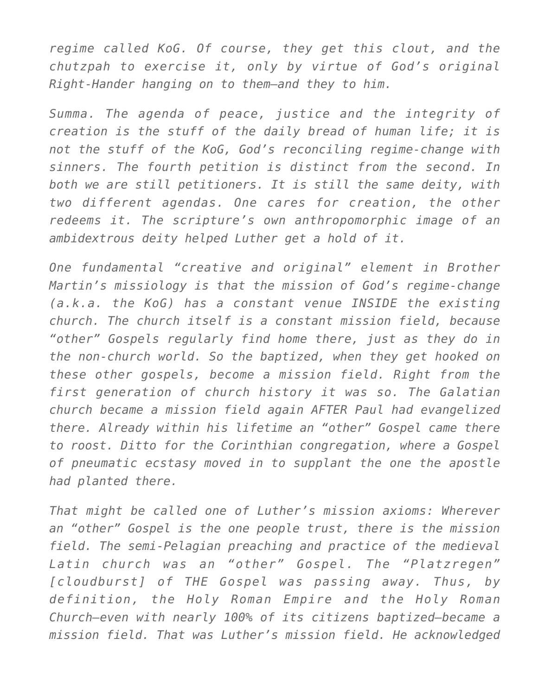*regime called KoG. Of course, they get this clout, and the chutzpah to exercise it, only by virtue of God's original Right-Hander hanging on to them–and they to him.*

*Summa. The agenda of peace, justice and the integrity of creation is the stuff of the daily bread of human life; it is not the stuff of the KoG, God's reconciling regime-change with sinners. The fourth petition is distinct from the second. In both we are still petitioners. It is still the same deity, with two different agendas. One cares for creation, the other redeems it. The scripture's own anthropomorphic image of an ambidextrous deity helped Luther get a hold of it.*

*One fundamental "creative and original" element in Brother Martin's missiology is that the mission of God's regime-change (a.k.a. the KoG) has a constant venue INSIDE the existing church. The church itself is a constant mission field, because "other" Gospels regularly find home there, just as they do in the non-church world. So the baptized, when they get hooked on these other gospels, become a mission field. Right from the first generation of church history it was so. The Galatian church became a mission field again AFTER Paul had evangelized there. Already within his lifetime an "other" Gospel came there to roost. Ditto for the Corinthian congregation, where a Gospel of pneumatic ecstasy moved in to supplant the one the apostle had planted there.*

*That might be called one of Luther's mission axioms: Wherever an "other" Gospel is the one people trust, there is the mission field. The semi-Pelagian preaching and practice of the medieval Latin church was an "other" Gospel. The "Platzregen" [cloudburst] of THE Gospel was passing away. Thus, by definition, the Holy Roman Empire and the Holy Roman Church–even with nearly 100% of its citizens baptized–became a mission field. That was Luther's mission field. He acknowledged*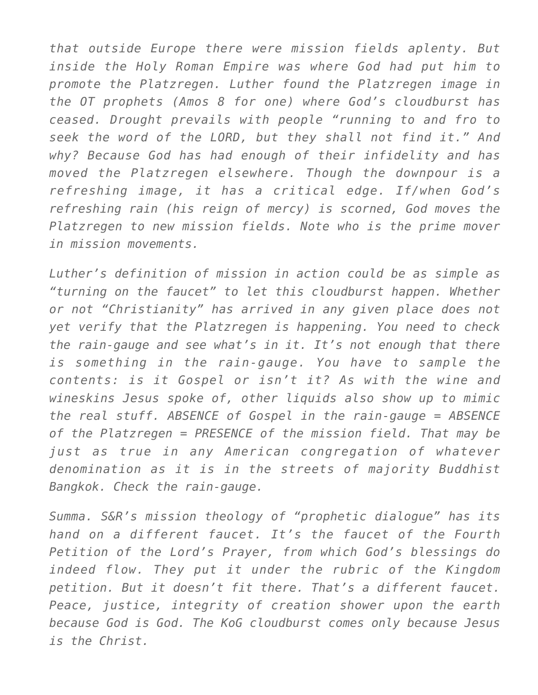*that outside Europe there were mission fields aplenty. But inside the Holy Roman Empire was where God had put him to promote the Platzregen. Luther found the Platzregen image in the OT prophets (Amos 8 for one) where God's cloudburst has ceased. Drought prevails with people "running to and fro to seek the word of the LORD, but they shall not find it." And why? Because God has had enough of their infidelity and has moved the Platzregen elsewhere. Though the downpour is a refreshing image, it has a critical edge. If/when God's refreshing rain (his reign of mercy) is scorned, God moves the Platzregen to new mission fields. Note who is the prime mover in mission movements.*

*Luther's definition of mission in action could be as simple as "turning on the faucet" to let this cloudburst happen. Whether or not "Christianity" has arrived in any given place does not yet verify that the Platzregen is happening. You need to check the rain-gauge and see what's in it. It's not enough that there is something in the rain-gauge. You have to sample the contents: is it Gospel or isn't it? As with the wine and wineskins Jesus spoke of, other liquids also show up to mimic the real stuff. ABSENCE of Gospel in the rain-gauge = ABSENCE of the Platzregen = PRESENCE of the mission field. That may be just as true in any American congregation of whatever denomination as it is in the streets of majority Buddhist Bangkok. Check the rain-gauge.*

*Summa. S&R's mission theology of "prophetic dialogue" has its hand on a different faucet. It's the faucet of the Fourth Petition of the Lord's Prayer, from which God's blessings do indeed flow. They put it under the rubric of the Kingdom petition. But it doesn't fit there. That's a different faucet. Peace, justice, integrity of creation shower upon the earth because God is God. The KoG cloudburst comes only because Jesus is the Christ.*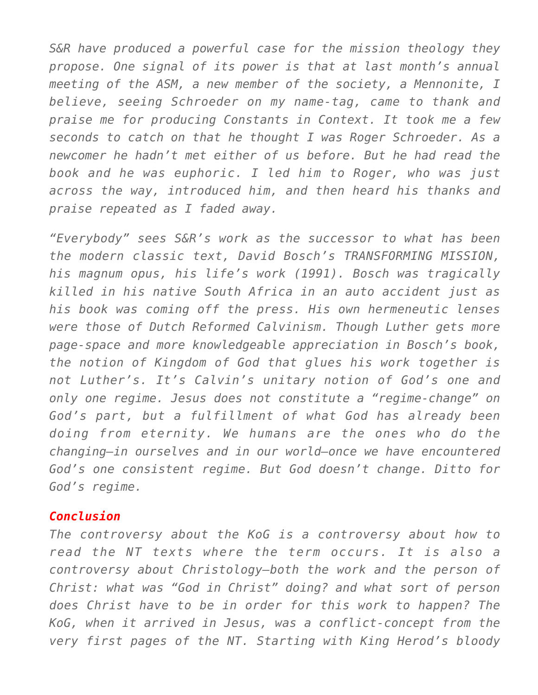*S&R have produced a powerful case for the mission theology they propose. One signal of its power is that at last month's annual meeting of the ASM, a new member of the society, a Mennonite, I believe, seeing Schroeder on my name-tag, came to thank and praise me for producing Constants in Context. It took me a few seconds to catch on that he thought I was Roger Schroeder. As a newcomer he hadn't met either of us before. But he had read the book and he was euphoric. I led him to Roger, who was just across the way, introduced him, and then heard his thanks and praise repeated as I faded away.*

*"Everybody" sees S&R's work as the successor to what has been the modern classic text, David Bosch's TRANSFORMING MISSION, his magnum opus, his life's work (1991). Bosch was tragically killed in his native South Africa in an auto accident just as his book was coming off the press. His own hermeneutic lenses were those of Dutch Reformed Calvinism. Though Luther gets more page-space and more knowledgeable appreciation in Bosch's book, the notion of Kingdom of God that glues his work together is not Luther's. It's Calvin's unitary notion of God's one and only one regime. Jesus does not constitute a "regime-change" on God's part, but a fulfillment of what God has already been doing from eternity. We humans are the ones who do the changing–in ourselves and in our world–once we have encountered God's one consistent regime. But God doesn't change. Ditto for God's regime.*

## *Conclusion*

*The controversy about the KoG is a controversy about how to read the NT texts where the term occurs. It is also a controversy about Christology–both the work and the person of Christ: what was "God in Christ" doing? and what sort of person does Christ have to be in order for this work to happen? The KoG, when it arrived in Jesus, was a conflict-concept from the very first pages of the NT. Starting with King Herod's bloody*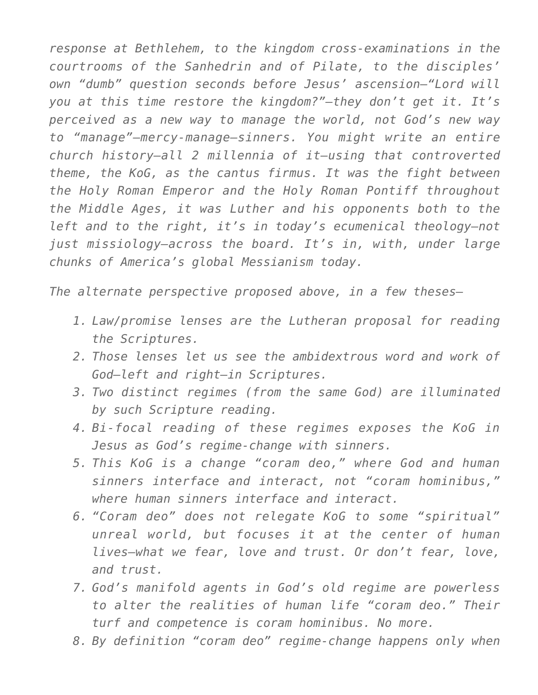*response at Bethlehem, to the kingdom cross-examinations in the courtrooms of the Sanhedrin and of Pilate, to the disciples' own "dumb" question seconds before Jesus' ascension–"Lord will you at this time restore the kingdom?"–they don't get it. It's perceived as a new way to manage the world, not God's new way to "manage"–mercy-manage–sinners. You might write an entire church history–all 2 millennia of it–using that controverted theme, the KoG, as the cantus firmus. It was the fight between the Holy Roman Emperor and the Holy Roman Pontiff throughout the Middle Ages, it was Luther and his opponents both to the left and to the right, it's in today's ecumenical theology–not just missiology–across the board. It's in, with, under large chunks of America's global Messianism today.*

*The alternate perspective proposed above, in a few theses–*

- *1. Law/promise lenses are the Lutheran proposal for reading the Scriptures.*
- *2. Those lenses let us see the ambidextrous word and work of God–left and right–in Scriptures.*
- *3. Two distinct regimes (from the same God) are illuminated by such Scripture reading.*
- *4. Bi-focal reading of these regimes exposes the KoG in Jesus as God's regime-change with sinners.*
- *5. This KoG is a change "coram deo," where God and human sinners interface and interact, not "coram hominibus," where human sinners interface and interact.*
- *6. "Coram deo" does not relegate KoG to some "spiritual" unreal world, but focuses it at the center of human lives–what we fear, love and trust. Or don't fear, love, and trust.*
- *7. God's manifold agents in God's old regime are powerless to alter the realities of human life "coram deo." Their turf and competence is coram hominibus. No more.*
- *8. By definition "coram deo" regime-change happens only when*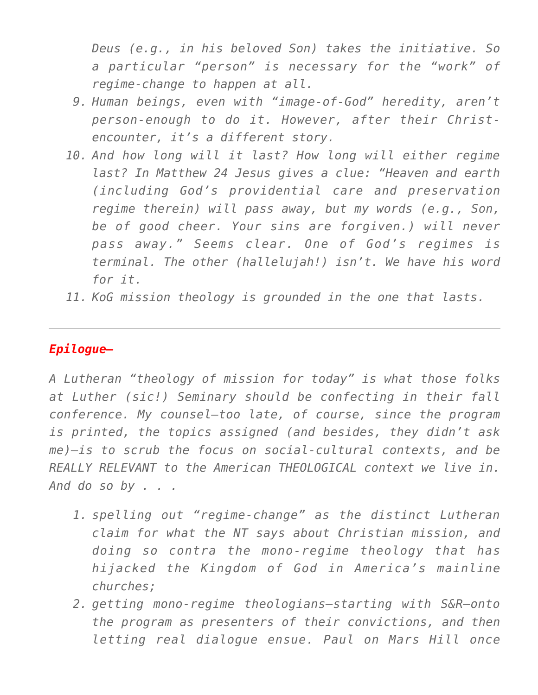*Deus (e.g., in his beloved Son) takes the initiative. So a particular "person" is necessary for the "work" of regime-change to happen at all.*

- *9. Human beings, even with "image-of-God" heredity, aren't person-enough to do it. However, after their Christencounter, it's a different story.*
- *10. And how long will it last? How long will either regime last? In Matthew 24 Jesus gives a clue: "Heaven and earth (including God's providential care and preservation regime therein) will pass away, but my words (e.g., Son, be of good cheer. Your sins are forgiven.) will never pass away." Seems clear. One of God's regimes is terminal. The other (hallelujah!) isn't. We have his word for it.*
- *11. KoG mission theology is grounded in the one that lasts.*

## *Epilogue–*

*A Lutheran "theology of mission for today" is what those folks at Luther (sic!) Seminary should be confecting in their fall conference. My counsel–too late, of course, since the program is printed, the topics assigned (and besides, they didn't ask me)–is to scrub the focus on social-cultural contexts, and be REALLY RELEVANT to the American THEOLOGICAL context we live in. And do so by . . .*

- *1. spelling out "regime-change" as the distinct Lutheran claim for what the NT says about Christian mission, and doing so contra the mono-regime theology that has hijacked the Kingdom of God in America's mainline churches;*
- *2. getting mono-regime theologians–starting with S&R–onto the program as presenters of their convictions, and then letting real dialogue ensue. Paul on Mars Hill once*